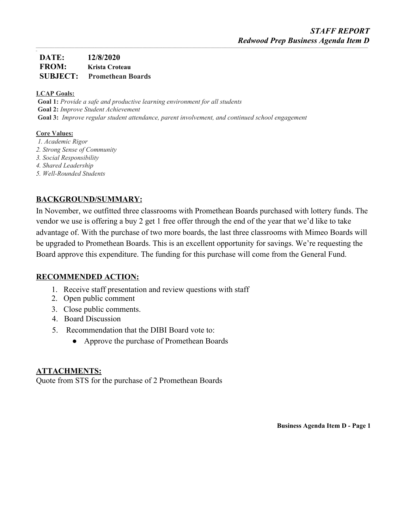# **DATE: 12/8/2020 FROM: Krista Croteau SUBJECT: Promethean Boards**

### **LCAP Goals:**

*\_*

**Goal 1:** *Provide a safe and productive learning environment for all students* **Goal 2:** *Improve Student Achievement* **Goal 3:** *Improve regular student attendance, parent involvement, and continued school engagement*

### **Core Values:**

- *1. Academic Rigor*
- *2. Strong Sense of Community*
- *3. Social Responsibility*
- *4. Shared Leadership*
- *5. Well-Rounded Students*

# **BACKGROUND/SUMMARY:**

In November, we outfitted three classrooms with Promethean Boards purchased with lottery funds. The vendor we use is offering a buy 2 get 1 free offer through the end of the year that we'd like to take advantage of. With the purchase of two more boards, the last three classrooms with Mimeo Boards will be upgraded to Promethean Boards. This is an excellent opportunity for savings. We're requesting the Board approve this expenditure. The funding for this purchase will come from the General Fund.

## **RECOMMENDED ACTION:**

- 1. Receive staff presentation and review questions with staff
- 2. Open public comment
- 3. Close public comments.
- 4. Board Discussion
- 5. Recommendation that the DIBI Board vote to:
	- Approve the purchase of Promethean Boards

## **ATTACHMENTS:**

Quote from STS for the purchase of 2 Promethean Boards

**Business Agenda Item D - Page 1**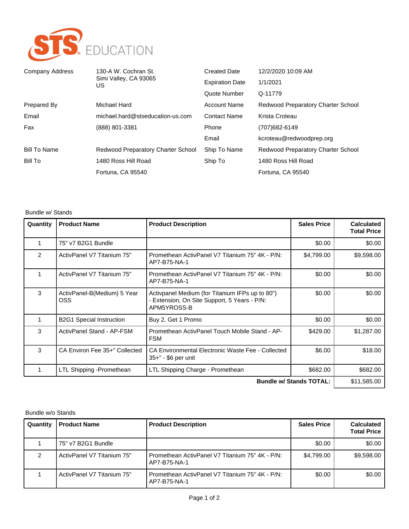

| Company Address     | 130-A W. Cochran St.<br>Simi Valley, CA 93065<br>US. | <b>Created Date</b>    | 12/2/2020 10:09 AM                 |
|---------------------|------------------------------------------------------|------------------------|------------------------------------|
|                     |                                                      | <b>Expiration Date</b> | 1/1/2021                           |
|                     |                                                      | Quote Number           | Q-11779                            |
| Prepared By         | Michael Hard                                         | <b>Account Name</b>    | Redwood Preparatory Charter School |
| Email               | michael.hard@stseducation-us.com                     | <b>Contact Name</b>    | Krista Croteau                     |
| Fax                 | (888) 801-3381                                       | Phone                  | (707) 682-6149                     |
|                     |                                                      | Email                  | kcroteau@redwoodprep.org           |
| <b>Bill To Name</b> | Redwood Preparatory Charter School                   | Ship To Name           | Redwood Preparatory Charter School |
| Bill To             | 1480 Ross Hill Road                                  | Ship To                | 1480 Ross Hill Road                |
|                     | Fortuna, CA 95540                                    |                        | Fortuna, CA 95540                  |

#### Bundle w/ Stands

| Quantity                       | <b>Product Name</b>                       | <b>Product Description</b>                                                                                     | <b>Sales Price</b> | <b>Calculated</b><br><b>Total Price</b> |
|--------------------------------|-------------------------------------------|----------------------------------------------------------------------------------------------------------------|--------------------|-----------------------------------------|
| 1                              | 75" v7 B2G1 Bundle                        |                                                                                                                | \$0.00             | \$0.00                                  |
| 2                              | ActivPanel V7 Titanium 75"                | Promethean ActivPanel V7 Titanium 75" 4K - P/N:<br>AP7-B75-NA-1                                                | \$4,799.00         | \$9,598.00                              |
|                                | ActivPanel V7 Titanium 75"                | Promethean ActivPanel V7 Titanium 75" 4K - P/N:<br>AP7-B75-NA-1                                                | \$0.00             | \$0.00                                  |
| 3                              | ActivPanel-B(Medium) 5 Year<br><b>OSS</b> | Activpanel Medium (for Titanium IFPs up to 80")<br>- Extension, On Site Support, 5 Years - P/N:<br>APM5YROSS-B | \$0.00             | \$0.00                                  |
| 1                              | <b>B2G1 Special Instruction</b>           | Buy 2, Get 1 Promo                                                                                             | \$0.00             | \$0.00                                  |
| 3                              | ActivPanel Stand - AP-FSM                 | Promethean ActivPanel Touch Mobile Stand - AP-<br><b>FSM</b>                                                   | \$429.00           | \$1,287.00                              |
| 3                              | CA Environ Fee 35+" Collected             | CA Environmental Electronic Waste Fee - Collected<br>35+" - \$6 per unit                                       | \$6.00             | \$18.00                                 |
| 1                              | LTL Shipping -Promethean                  | LTL Shipping Charge - Promethean                                                                               | \$682.00           | \$682.00                                |
| <b>Bundle w/ Stands TOTAL:</b> |                                           |                                                                                                                | \$11,585.00        |                                         |

### Bundle w/o Stands

| Quantity | <b>Product Name</b>        | <b>Product Description</b>                                      | <b>Sales Price</b> | <b>Calculated</b><br><b>Total Price</b> |
|----------|----------------------------|-----------------------------------------------------------------|--------------------|-----------------------------------------|
|          | 75" v7 B2G1 Bundle         |                                                                 | \$0.00             | \$0.00                                  |
|          | ActivPanel V7 Titanium 75" | Promethean ActivPanel V7 Titanium 75" 4K - P/N:<br>AP7-B75-NA-1 | \$4.799.00         | \$9,598.00                              |
|          | ActivPanel V7 Titanium 75" | Promethean ActivPanel V7 Titanium 75" 4K - P/N:<br>AP7-B75-NA-1 | \$0.00             | \$0.00                                  |